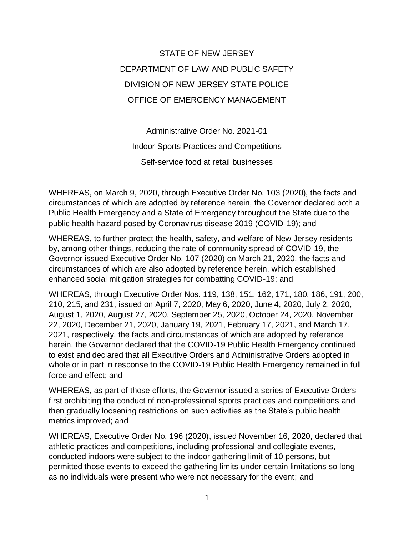STATE OF NEW JERSEY DEPARTMENT OF LAW AND PUBLIC SAFETY DIVISION OF NEW JERSEY STATE POLICE OFFICE OF EMERGENCY MANAGEMENT

Administrative Order No. 2021-01 Indoor Sports Practices and Competitions Self-service food at retail businesses

WHEREAS, on March 9, 2020, through Executive Order No. 103 (2020), the facts and circumstances of which are adopted by reference herein, the Governor declared both a Public Health Emergency and a State of Emergency throughout the State due to the public health hazard posed by Coronavirus disease 2019 (COVID-19); and

WHEREAS, to further protect the health, safety, and welfare of New Jersey residents by, among other things, reducing the rate of community spread of COVID-19, the Governor issued Executive Order No. 107 (2020) on March 21, 2020, the facts and circumstances of which are also adopted by reference herein, which established enhanced social mitigation strategies for combatting COVID-19; and

WHEREAS, through Executive Order Nos. 119, 138, 151, 162, 171, 180, 186, 191, 200, 210, 215, and 231, issued on April 7, 2020, May 6, 2020, June 4, 2020, July 2, 2020, August 1, 2020, August 27, 2020, September 25, 2020, October 24, 2020, November 22, 2020, December 21, 2020, January 19, 2021, February 17, 2021, and March 17, 2021, respectively, the facts and circumstances of which are adopted by reference herein, the Governor declared that the COVID-19 Public Health Emergency continued to exist and declared that all Executive Orders and Administrative Orders adopted in whole or in part in response to the COVID-19 Public Health Emergency remained in full force and effect; and

WHEREAS, as part of those efforts, the Governor issued a series of Executive Orders first prohibiting the conduct of non-professional sports practices and competitions and then gradually loosening restrictions on such activities as the State's public health metrics improved; and

WHEREAS, Executive Order No. 196 (2020), issued November 16, 2020, declared that athletic practices and competitions, including professional and collegiate events, conducted indoors were subject to the indoor gathering limit of 10 persons, but permitted those events to exceed the gathering limits under certain limitations so long as no individuals were present who were not necessary for the event; and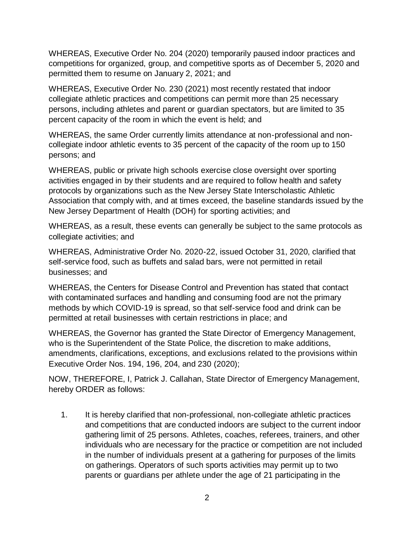WHEREAS, Executive Order No. 204 (2020) temporarily paused indoor practices and competitions for organized, group, and competitive sports as of December 5, 2020 and permitted them to resume on January 2, 2021; and

WHEREAS, Executive Order No. 230 (2021) most recently restated that indoor collegiate athletic practices and competitions can permit more than 25 necessary persons, including athletes and parent or guardian spectators, but are limited to 35 percent capacity of the room in which the event is held; and

WHEREAS, the same Order currently limits attendance at non-professional and noncollegiate indoor athletic events to 35 percent of the capacity of the room up to 150 persons; and

WHEREAS, public or private high schools exercise close oversight over sporting activities engaged in by their students and are required to follow health and safety protocols by organizations such as the New Jersey State Interscholastic Athletic Association that comply with, and at times exceed, the baseline standards issued by the New Jersey Department of Health (DOH) for sporting activities; and

WHEREAS, as a result, these events can generally be subject to the same protocols as collegiate activities; and

WHEREAS, Administrative Order No. 2020-22, issued October 31, 2020, clarified that self-service food, such as buffets and salad bars, were not permitted in retail businesses; and

WHEREAS, the Centers for Disease Control and Prevention has stated that contact with contaminated surfaces and handling and consuming food are not the primary methods by which COVID-19 is spread, so that self-service food and drink can be permitted at retail businesses with certain restrictions in place; and

WHEREAS, the Governor has granted the State Director of Emergency Management, who is the Superintendent of the State Police, the discretion to make additions, amendments, clarifications, exceptions, and exclusions related to the provisions within Executive Order Nos. 194, 196, 204, and 230 (2020);

NOW, THEREFORE, I, Patrick J. Callahan, State Director of Emergency Management, hereby ORDER as follows:

1. It is hereby clarified that non-professional, non-collegiate athletic practices and competitions that are conducted indoors are subject to the current indoor gathering limit of 25 persons. Athletes, coaches, referees, trainers, and other individuals who are necessary for the practice or competition are not included in the number of individuals present at a gathering for purposes of the limits on gatherings. Operators of such sports activities may permit up to two parents or guardians per athlete under the age of 21 participating in the